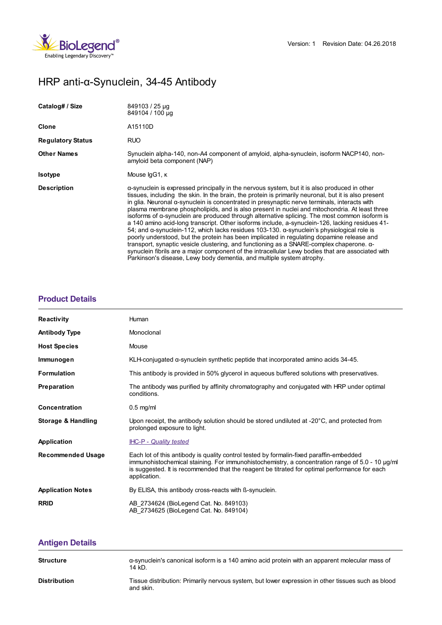

# HRP anti-α-Synuclein, 34-45 Antibody

| Catalog# / Size          | 849103 / 25 µg<br>849104 / 100 µg                                                                                                                                                                                                                                                                                                                                                                                                                                                                                                                                                                                                                                                                                                                                                                                                                                                                                                                                                                                                                                                                              |
|--------------------------|----------------------------------------------------------------------------------------------------------------------------------------------------------------------------------------------------------------------------------------------------------------------------------------------------------------------------------------------------------------------------------------------------------------------------------------------------------------------------------------------------------------------------------------------------------------------------------------------------------------------------------------------------------------------------------------------------------------------------------------------------------------------------------------------------------------------------------------------------------------------------------------------------------------------------------------------------------------------------------------------------------------------------------------------------------------------------------------------------------------|
| Clone                    | A15110D                                                                                                                                                                                                                                                                                                                                                                                                                                                                                                                                                                                                                                                                                                                                                                                                                                                                                                                                                                                                                                                                                                        |
| <b>Regulatory Status</b> | <b>RUO</b>                                                                                                                                                                                                                                                                                                                                                                                                                                                                                                                                                                                                                                                                                                                                                                                                                                                                                                                                                                                                                                                                                                     |
| <b>Other Names</b>       | Synuclein alpha-140, non-A4 component of amyloid, alpha-synuclein, isoform NACP140, non-<br>amyloid beta component (NAP)                                                                                                                                                                                                                                                                                                                                                                                                                                                                                                                                                                                                                                                                                                                                                                                                                                                                                                                                                                                       |
| <b>Isotype</b>           | Mouse IgG1, K                                                                                                                                                                                                                                                                                                                                                                                                                                                                                                                                                                                                                                                                                                                                                                                                                                                                                                                                                                                                                                                                                                  |
| <b>Description</b>       | $\alpha$ -synuclein is expressed principally in the nervous system, but it is also produced in other<br>tissues, including the skin. In the brain, the protein is primarily neuronal, but it is also present<br>in glia. Neuronal $\alpha$ -synuclein is concentrated in presynaptic nerve terminals, interacts with<br>plasma membrane phospholipids, and is also present in nuclei and mitochondria. At least three<br>isoforms of $\alpha$ -synuclein are produced through alternative splicing. The most common isoform is<br>a 140 amino acid-long transcript. Other isoforms include, a-synuclein-126, lacking residues 41-<br>54; and α-synuclein-112, which lacks residues 103-130. α-synuclein's physiological role is<br>poorly understood, but the protein has been implicated in regulating dopamine release and<br>transport, synaptic vesicle clustering, and functioning as a SNARE-complex chaperone. $\alpha$ -<br>synuclein fibrils are a major component of the intracellular Lewy bodies that are associated with<br>Parkinson's disease, Lewy body dementia, and multiple system atrophy. |

## **[Product](https://www.biolegend.com/de-at/products/hrp-anti-alpha-synuclein-34-45-antibody-15751?pdf=true&displayInline=true&leftRightMargin=15&topBottomMargin=15&filename=HRP anti-%EF%BF%BD%EF%BF%BD-Synuclein, 34-45 Antibody.pdf#productDetails) Details**

| <b>Reactivity</b>        | Human                                                                                                                                                                                                                                                                                                       |
|--------------------------|-------------------------------------------------------------------------------------------------------------------------------------------------------------------------------------------------------------------------------------------------------------------------------------------------------------|
| <b>Antibody Type</b>     | Monoclonal                                                                                                                                                                                                                                                                                                  |
| <b>Host Species</b>      | Mouse                                                                                                                                                                                                                                                                                                       |
| Immunogen                | KLH-conjugated $\alpha$ -synuclein synthetic peptide that incorporated amino acids 34-45.                                                                                                                                                                                                                   |
| <b>Formulation</b>       | This antibody is provided in 50% glycerol in aqueous buffered solutions with preservatives.                                                                                                                                                                                                                 |
| <b>Preparation</b>       | The antibody was purified by affinity chromatography and conjugated with HRP under optimal<br>conditions.                                                                                                                                                                                                   |
| <b>Concentration</b>     | $0.5$ mg/ml                                                                                                                                                                                                                                                                                                 |
| Storage & Handling       | Upon receipt, the antibody solution should be stored undiluted at -20°C, and protected from<br>prolonged exposure to light.                                                                                                                                                                                 |
| <b>Application</b>       | <b>IHC-P - Quality tested</b>                                                                                                                                                                                                                                                                               |
| <b>Recommended Usage</b> | Each lot of this antibody is quality control tested by formalin-fixed paraffin-embedded<br>immunohistochemical staining. For immunohistochemistry, a concentration range of 5.0 - 10 µg/ml<br>is suggested. It is recommended that the reagent be titrated for optimal performance for each<br>application. |
| <b>Application Notes</b> | By ELISA, this antibody cross-reacts with B-synuclein.                                                                                                                                                                                                                                                      |
| <b>RRID</b>              | AB 2734624 (BioLegend Cat. No. 849103)<br>AB 2734625 (BioLegend Cat. No. 849104)                                                                                                                                                                                                                            |

# **[Antigen](https://www.biolegend.com/de-at/products/hrp-anti-alpha-synuclein-34-45-antibody-15751?pdf=true&displayInline=true&leftRightMargin=15&topBottomMargin=15&filename=HRP anti-%EF%BF%BD%EF%BF%BD-Synuclein, 34-45 Antibody.pdf#antigenDetails) Details**

| <b>Structure</b>    | $\alpha$ -synuclein's canonical isoform is a 140 amino acid protein with an apparent molecular mass of<br>14 kD. |
|---------------------|------------------------------------------------------------------------------------------------------------------|
| <b>Distribution</b> | Tissue distribution: Primarily nervous system, but lower expression in other tissues such as blood<br>and skin.  |